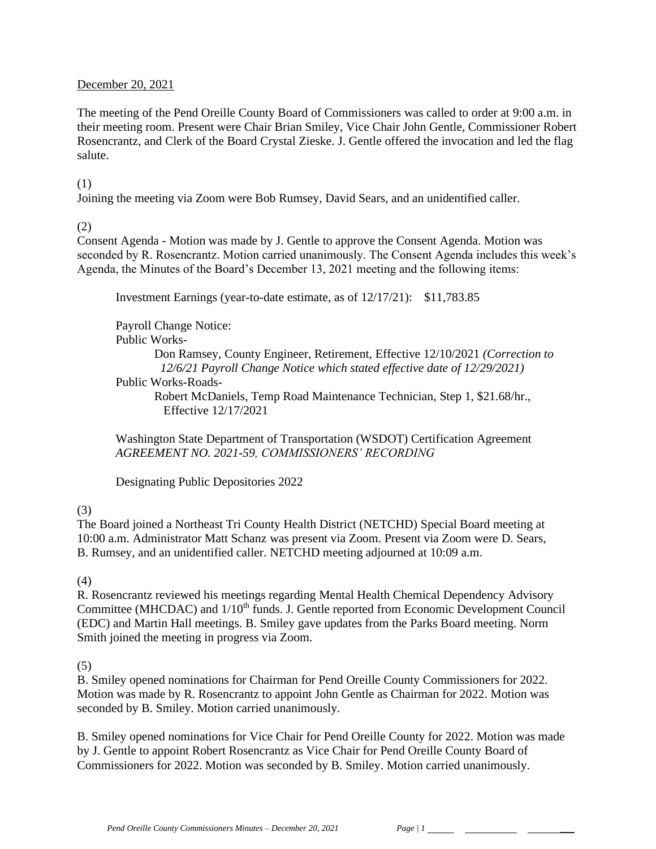### December 20, 2021

The meeting of the Pend Oreille County Board of Commissioners was called to order at 9:00 a.m. in their meeting room. Present were Chair Brian Smiley, Vice Chair John Gentle, Commissioner Robert Rosencrantz, and Clerk of the Board Crystal Zieske. J. Gentle offered the invocation and led the flag salute.

### (1)

Joining the meeting via Zoom were Bob Rumsey, David Sears, and an unidentified caller.

## (2)

Consent Agenda - Motion was made by J. Gentle to approve the Consent Agenda. Motion was seconded by R. Rosencrantz. Motion carried unanimously. The Consent Agenda includes this week's Agenda, the Minutes of the Board's December 13, 2021 meeting and the following items:

Investment Earnings (year-to-date estimate, as of 12/17/21): \$11,783.85

Payroll Change Notice: Public Works-

> Don Ramsey, County Engineer, Retirement, Effective 12/10/2021 *(Correction to 12/6/21 Payroll Change Notice which stated effective date of 12/29/2021)*

Public Works-Roads-

Robert McDaniels, Temp Road Maintenance Technician, Step 1, \$21.68/hr., Effective 12/17/2021

Washington State Department of Transportation (WSDOT) Certification Agreement *AGREEMENT NO. 2021-59, COMMISSIONERS' RECORDING*

Designating Public Depositories 2022

# (3)

The Board joined a Northeast Tri County Health District (NETCHD) Special Board meeting at 10:00 a.m. Administrator Matt Schanz was present via Zoom. Present via Zoom were D. Sears, B. Rumsey, and an unidentified caller. NETCHD meeting adjourned at 10:09 a.m.

## (4)

R. Rosencrantz reviewed his meetings regarding Mental Health Chemical Dependency Advisory Committee (MHCDAC) and 1/10<sup>th</sup> funds. J. Gentle reported from Economic Development Council (EDC) and Martin Hall meetings. B. Smiley gave updates from the Parks Board meeting. Norm Smith joined the meeting in progress via Zoom.

## (5)

B. Smiley opened nominations for Chairman for Pend Oreille County Commissioners for 2022. Motion was made by R. Rosencrantz to appoint John Gentle as Chairman for 2022. Motion was seconded by B. Smiley. Motion carried unanimously.

B. Smiley opened nominations for Vice Chair for Pend Oreille County for 2022. Motion was made by J. Gentle to appoint Robert Rosencrantz as Vice Chair for Pend Oreille County Board of Commissioners for 2022. Motion was seconded by B. Smiley. Motion carried unanimously.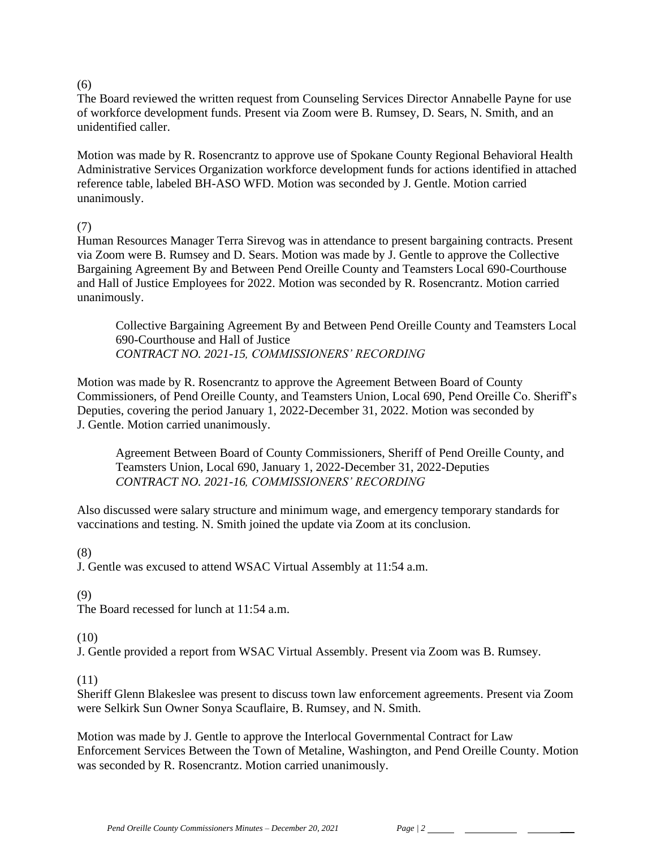### $(6)$

The Board reviewed the written request from Counseling Services Director Annabelle Payne for use of workforce development funds. Present via Zoom were B. Rumsey, D. Sears, N. Smith, and an unidentified caller.

Motion was made by R. Rosencrantz to approve use of Spokane County Regional Behavioral Health Administrative Services Organization workforce development funds for actions identified in attached reference table, labeled BH-ASO WFD. Motion was seconded by J. Gentle. Motion carried unanimously.

## (7)

Human Resources Manager Terra Sirevog was in attendance to present bargaining contracts. Present via Zoom were B. Rumsey and D. Sears. Motion was made by J. Gentle to approve the Collective Bargaining Agreement By and Between Pend Oreille County and Teamsters Local 690-Courthouse and Hall of Justice Employees for 2022. Motion was seconded by R. Rosencrantz. Motion carried unanimously.

Collective Bargaining Agreement By and Between Pend Oreille County and Teamsters Local 690-Courthouse and Hall of Justice *CONTRACT NO. 2021-15, COMMISSIONERS' RECORDING*

Motion was made by R. Rosencrantz to approve the Agreement Between Board of County Commissioners, of Pend Oreille County, and Teamsters Union, Local 690, Pend Oreille Co. Sheriff's Deputies, covering the period January 1, 2022-December 31, 2022. Motion was seconded by J. Gentle. Motion carried unanimously.

Agreement Between Board of County Commissioners, Sheriff of Pend Oreille County, and Teamsters Union, Local 690, January 1, 2022-December 31, 2022-Deputies *CONTRACT NO. 2021-16, COMMISSIONERS' RECORDING*

Also discussed were salary structure and minimum wage, and emergency temporary standards for vaccinations and testing. N. Smith joined the update via Zoom at its conclusion.

## (8)

J. Gentle was excused to attend WSAC Virtual Assembly at 11:54 a.m.

## (9)

The Board recessed for lunch at 11:54 a.m.

# (10)

J. Gentle provided a report from WSAC Virtual Assembly. Present via Zoom was B. Rumsey.

## (11)

Sheriff Glenn Blakeslee was present to discuss town law enforcement agreements. Present via Zoom were Selkirk Sun Owner Sonya Scauflaire, B. Rumsey, and N. Smith.

Motion was made by J. Gentle to approve the Interlocal Governmental Contract for Law Enforcement Services Between the Town of Metaline, Washington, and Pend Oreille County. Motion was seconded by R. Rosencrantz. Motion carried unanimously.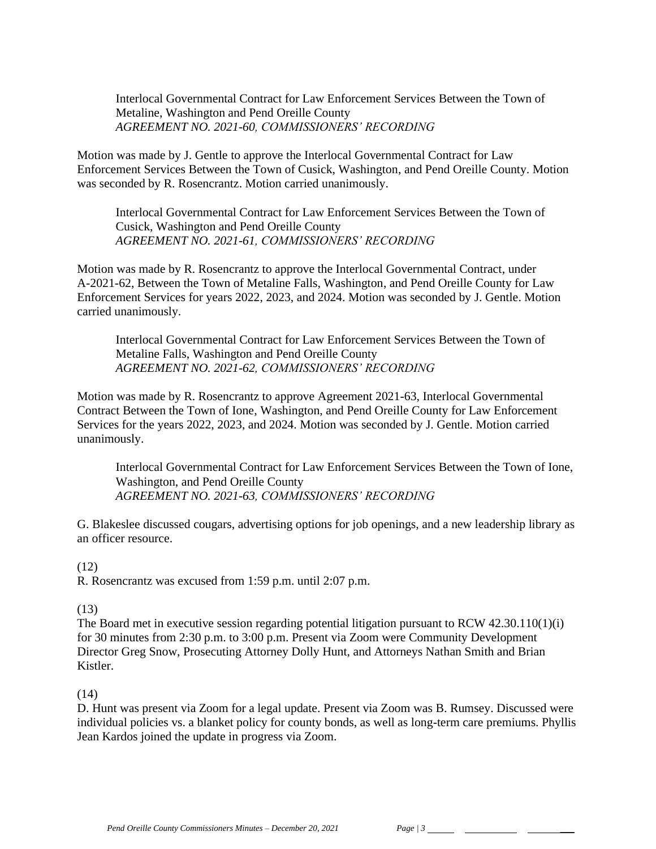Interlocal Governmental Contract for Law Enforcement Services Between the Town of Metaline, Washington and Pend Oreille County *AGREEMENT NO. 2021-60, COMMISSIONERS' RECORDING*

Motion was made by J. Gentle to approve the Interlocal Governmental Contract for Law Enforcement Services Between the Town of Cusick, Washington, and Pend Oreille County. Motion was seconded by R. Rosencrantz. Motion carried unanimously.

Interlocal Governmental Contract for Law Enforcement Services Between the Town of Cusick, Washington and Pend Oreille County *AGREEMENT NO. 2021-61, COMMISSIONERS' RECORDING*

Motion was made by R. Rosencrantz to approve the Interlocal Governmental Contract, under A-2021-62, Between the Town of Metaline Falls, Washington, and Pend Oreille County for Law Enforcement Services for years 2022, 2023, and 2024. Motion was seconded by J. Gentle. Motion carried unanimously.

Interlocal Governmental Contract for Law Enforcement Services Between the Town of Metaline Falls, Washington and Pend Oreille County *AGREEMENT NO. 2021-62, COMMISSIONERS' RECORDING*

Motion was made by R. Rosencrantz to approve Agreement 2021-63, Interlocal Governmental Contract Between the Town of Ione, Washington, and Pend Oreille County for Law Enforcement Services for the years 2022, 2023, and 2024. Motion was seconded by J. Gentle. Motion carried unanimously.

Interlocal Governmental Contract for Law Enforcement Services Between the Town of Ione, Washington, and Pend Oreille County *AGREEMENT NO. 2021-63, COMMISSIONERS' RECORDING*

G. Blakeslee discussed cougars, advertising options for job openings, and a new leadership library as an officer resource.

#### (12)

R. Rosencrantz was excused from 1:59 p.m. until 2:07 p.m.

#### (13)

The Board met in executive session regarding potential litigation pursuant to RCW 42.30.110(1)(i) for 30 minutes from 2:30 p.m. to 3:00 p.m. Present via Zoom were Community Development Director Greg Snow, Prosecuting Attorney Dolly Hunt, and Attorneys Nathan Smith and Brian Kistler.

#### (14)

D. Hunt was present via Zoom for a legal update. Present via Zoom was B. Rumsey. Discussed were individual policies vs. a blanket policy for county bonds, as well as long-term care premiums. Phyllis Jean Kardos joined the update in progress via Zoom.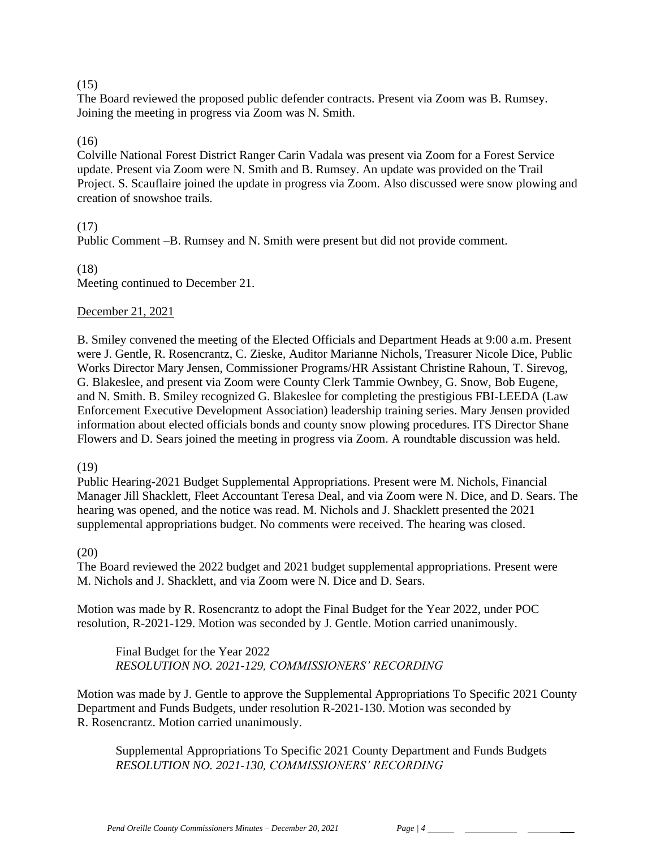### $(15)$

The Board reviewed the proposed public defender contracts. Present via Zoom was B. Rumsey. Joining the meeting in progress via Zoom was N. Smith.

## (16)

Colville National Forest District Ranger Carin Vadala was present via Zoom for a Forest Service update. Present via Zoom were N. Smith and B. Rumsey. An update was provided on the Trail Project. S. Scauflaire joined the update in progress via Zoom. Also discussed were snow plowing and creation of snowshoe trails.

## (17)

Public Comment –B. Rumsey and N. Smith were present but did not provide comment.

(18) Meeting continued to December 21.

### December 21, 2021

B. Smiley convened the meeting of the Elected Officials and Department Heads at 9:00 a.m. Present were J. Gentle, R. Rosencrantz, C. Zieske, Auditor Marianne Nichols, Treasurer Nicole Dice, Public Works Director Mary Jensen, Commissioner Programs/HR Assistant Christine Rahoun, T. Sirevog, G. Blakeslee, and present via Zoom were County Clerk Tammie Ownbey, G. Snow, Bob Eugene, and N. Smith. B. Smiley recognized G. Blakeslee for completing the prestigious FBI-LEEDA (Law Enforcement Executive Development Association) leadership training series. Mary Jensen provided information about elected officials bonds and county snow plowing procedures. ITS Director Shane Flowers and D. Sears joined the meeting in progress via Zoom. A roundtable discussion was held.

#### (19)

Public Hearing-2021 Budget Supplemental Appropriations. Present were M. Nichols, Financial Manager Jill Shacklett, Fleet Accountant Teresa Deal, and via Zoom were N. Dice, and D. Sears. The hearing was opened, and the notice was read. M. Nichols and J. Shacklett presented the 2021 supplemental appropriations budget. No comments were received. The hearing was closed.

#### (20)

The Board reviewed the 2022 budget and 2021 budget supplemental appropriations. Present were M. Nichols and J. Shacklett, and via Zoom were N. Dice and D. Sears.

Motion was made by R. Rosencrantz to adopt the Final Budget for the Year 2022, under POC resolution, R-2021-129. Motion was seconded by J. Gentle. Motion carried unanimously.

Final Budget for the Year 2022 *RESOLUTION NO. 2021-129, COMMISSIONERS' RECORDING* 

Motion was made by J. Gentle to approve the Supplemental Appropriations To Specific 2021 County Department and Funds Budgets, under resolution R-2021-130. Motion was seconded by R. Rosencrantz. Motion carried unanimously.

Supplemental Appropriations To Specific 2021 County Department and Funds Budgets *RESOLUTION NO. 2021-130, COMMISSIONERS' RECORDING*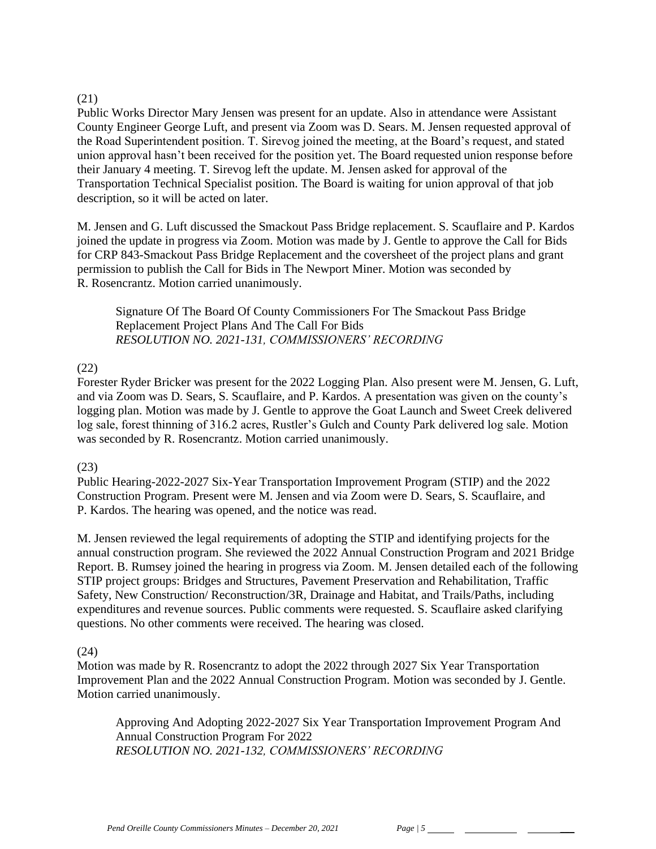### (21)

Public Works Director Mary Jensen was present for an update. Also in attendance were Assistant County Engineer George Luft, and present via Zoom was D. Sears. M. Jensen requested approval of the Road Superintendent position. T. Sirevog joined the meeting, at the Board's request, and stated union approval hasn't been received for the position yet. The Board requested union response before their January 4 meeting. T. Sirevog left the update. M. Jensen asked for approval of the Transportation Technical Specialist position. The Board is waiting for union approval of that job description, so it will be acted on later.

M. Jensen and G. Luft discussed the Smackout Pass Bridge replacement. S. Scauflaire and P. Kardos joined the update in progress via Zoom. Motion was made by J. Gentle to approve the Call for Bids for CRP 843-Smackout Pass Bridge Replacement and the coversheet of the project plans and grant permission to publish the Call for Bids in The Newport Miner. Motion was seconded by R. Rosencrantz. Motion carried unanimously.

Signature Of The Board Of County Commissioners For The Smackout Pass Bridge Replacement Project Plans And The Call For Bids *RESOLUTION NO. 2021-131, COMMISSIONERS' RECORDING* 

## (22)

Forester Ryder Bricker was present for the 2022 Logging Plan. Also present were M. Jensen, G. Luft, and via Zoom was D. Sears, S. Scauflaire, and P. Kardos. A presentation was given on the county's logging plan. Motion was made by J. Gentle to approve the Goat Launch and Sweet Creek delivered log sale, forest thinning of 316.2 acres, Rustler's Gulch and County Park delivered log sale. Motion was seconded by R. Rosencrantz. Motion carried unanimously.

## (23)

Public Hearing-2022-2027 Six-Year Transportation Improvement Program (STIP) and the 2022 Construction Program. Present were M. Jensen and via Zoom were D. Sears, S. Scauflaire, and P. Kardos. The hearing was opened, and the notice was read.

M. Jensen reviewed the legal requirements of adopting the STIP and identifying projects for the annual construction program. She reviewed the 2022 Annual Construction Program and 2021 Bridge Report. B. Rumsey joined the hearing in progress via Zoom. M. Jensen detailed each of the following STIP project groups: Bridges and Structures, Pavement Preservation and Rehabilitation, Traffic Safety, New Construction/ Reconstruction/3R, Drainage and Habitat, and Trails/Paths, including expenditures and revenue sources. Public comments were requested. S. Scauflaire asked clarifying questions. No other comments were received. The hearing was closed.

## (24)

Motion was made by R. Rosencrantz to adopt the 2022 through 2027 Six Year Transportation Improvement Plan and the 2022 Annual Construction Program. Motion was seconded by J. Gentle. Motion carried unanimously.

Approving And Adopting 2022-2027 Six Year Transportation Improvement Program And Annual Construction Program For 2022 *RESOLUTION NO. 2021-132, COMMISSIONERS' RECORDING*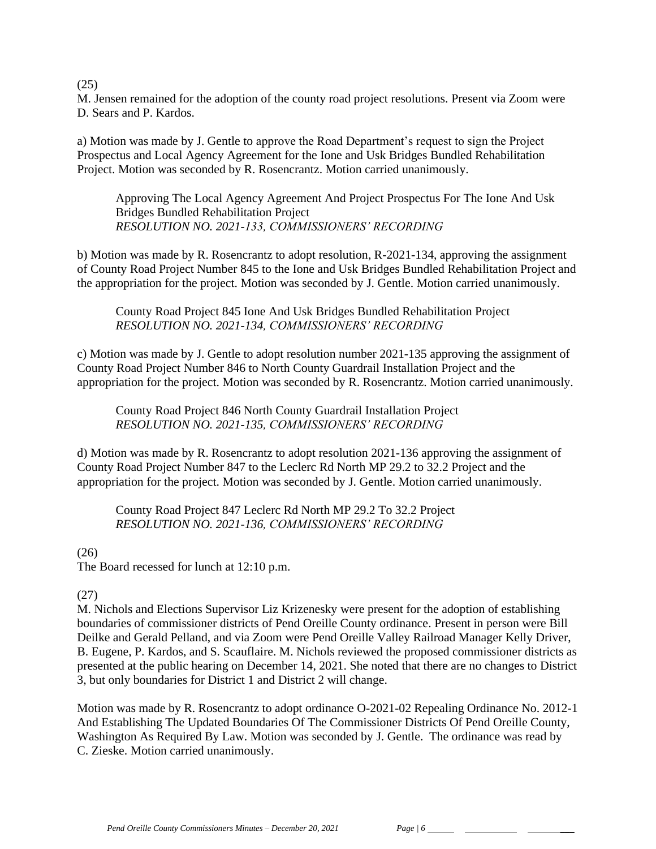(25)

M. Jensen remained for the adoption of the county road project resolutions. Present via Zoom were D. Sears and P. Kardos.

a) Motion was made by J. Gentle to approve the Road Department's request to sign the Project Prospectus and Local Agency Agreement for the Ione and Usk Bridges Bundled Rehabilitation Project. Motion was seconded by R. Rosencrantz. Motion carried unanimously.

Approving The Local Agency Agreement And Project Prospectus For The Ione And Usk Bridges Bundled Rehabilitation Project *RESOLUTION NO. 2021-133, COMMISSIONERS' RECORDING* 

b) Motion was made by R. Rosencrantz to adopt resolution, R-2021-134, approving the assignment of County Road Project Number 845 to the Ione and Usk Bridges Bundled Rehabilitation Project and the appropriation for the project. Motion was seconded by J. Gentle. Motion carried unanimously.

County Road Project 845 Ione And Usk Bridges Bundled Rehabilitation Project *RESOLUTION NO. 2021-134, COMMISSIONERS' RECORDING* 

c) Motion was made by J. Gentle to adopt resolution number 2021-135 approving the assignment of County Road Project Number 846 to North County Guardrail Installation Project and the appropriation for the project. Motion was seconded by R. Rosencrantz. Motion carried unanimously.

County Road Project 846 North County Guardrail Installation Project *RESOLUTION NO. 2021-135, COMMISSIONERS' RECORDING* 

d) Motion was made by R. Rosencrantz to adopt resolution 2021-136 approving the assignment of County Road Project Number 847 to the Leclerc Rd North MP 29.2 to 32.2 Project and the appropriation for the project. Motion was seconded by J. Gentle. Motion carried unanimously.

County Road Project 847 Leclerc Rd North MP 29.2 To 32.2 Project *RESOLUTION NO. 2021-136, COMMISSIONERS' RECORDING* 

## $(26)$

The Board recessed for lunch at 12:10 p.m.

## (27)

M. Nichols and Elections Supervisor Liz Krizenesky were present for the adoption of establishing boundaries of commissioner districts of Pend Oreille County ordinance. Present in person were Bill Deilke and Gerald Pelland, and via Zoom were Pend Oreille Valley Railroad Manager Kelly Driver, B. Eugene, P. Kardos, and S. Scauflaire. M. Nichols reviewed the proposed commissioner districts as presented at the public hearing on December 14, 2021. She noted that there are no changes to District 3, but only boundaries for District 1 and District 2 will change.

Motion was made by R. Rosencrantz to adopt ordinance O-2021-02 Repealing Ordinance No. 2012-1 And Establishing The Updated Boundaries Of The Commissioner Districts Of Pend Oreille County, Washington As Required By Law. Motion was seconded by J. Gentle. The ordinance was read by C. Zieske. Motion carried unanimously.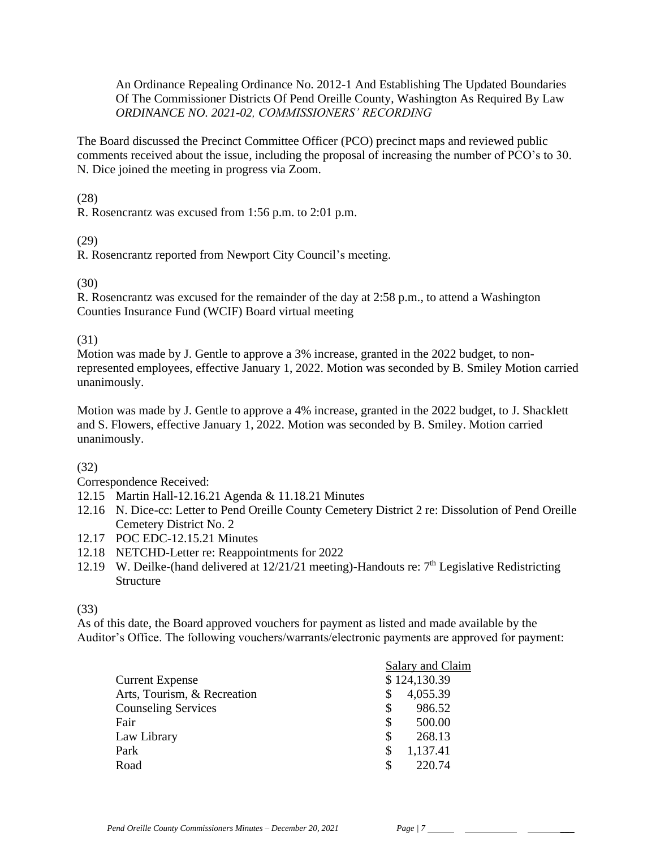An Ordinance Repealing Ordinance No. 2012-1 And Establishing The Updated Boundaries Of The Commissioner Districts Of Pend Oreille County, Washington As Required By Law *ORDINANCE NO. 2021-02, COMMISSIONERS' RECORDING* 

The Board discussed the Precinct Committee Officer (PCO) precinct maps and reviewed public comments received about the issue, including the proposal of increasing the number of PCO's to 30. N. Dice joined the meeting in progress via Zoom.

(28)

R. Rosencrantz was excused from 1:56 p.m. to 2:01 p.m.

## (29)

R. Rosencrantz reported from Newport City Council's meeting.

## (30)

R. Rosencrantz was excused for the remainder of the day at 2:58 p.m., to attend a Washington Counties Insurance Fund (WCIF) Board virtual meeting

## (31)

Motion was made by J. Gentle to approve a 3% increase, granted in the 2022 budget, to nonrepresented employees, effective January 1, 2022. Motion was seconded by B. Smiley Motion carried unanimously.

Motion was made by J. Gentle to approve a 4% increase, granted in the 2022 budget, to J. Shacklett and S. Flowers, effective January 1, 2022. Motion was seconded by B. Smiley. Motion carried unanimously.

# (32)

Correspondence Received:

- 12.15 Martin Hall-12.16.21 Agenda & 11.18.21 Minutes
- 12.16 N. Dice-cc: Letter to Pend Oreille County Cemetery District 2 re: Dissolution of Pend Oreille Cemetery District No. 2
- 12.17 POC EDC-12.15.21 Minutes
- 12.18 NETCHD-Letter re: Reappointments for 2022
- 12.19 W. Deilke-(hand delivered at  $12/21/21$  meeting)-Handouts re:  $7<sup>th</sup>$  Legislative Redistricting **Structure**

(33)

As of this date, the Board approved vouchers for payment as listed and made available by the Auditor's Office. The following vouchers/warrants/electronic payments are approved for payment:

|                             | Salary and Claim |  |  |
|-----------------------------|------------------|--|--|
| <b>Current Expense</b>      | \$124,130.39     |  |  |
| Arts, Tourism, & Recreation | 4,055.39<br>S    |  |  |
| <b>Counseling Services</b>  | 986.52<br>\$     |  |  |
| Fair                        | \$<br>500.00     |  |  |
| Law Library                 | \$<br>268.13     |  |  |
| Park                        | 1,137.41<br>\$   |  |  |
| Road                        | 220.74<br>S      |  |  |
|                             |                  |  |  |